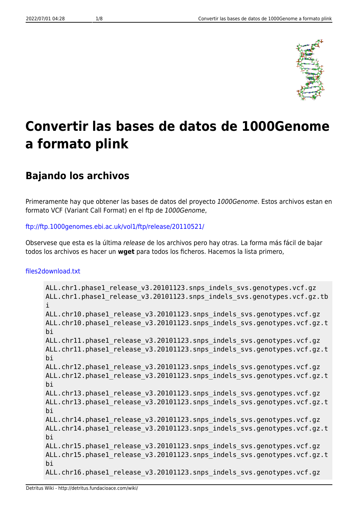

# **Convertir las bases de datos de 1000Genome a formato plink**

# **Bajando los archivos**

Primeramente hay que obtener las bases de datos del proyecto 1000Genome. Estos archivos estan en formato VCF (Variant Call Format) en el ftp de 1000Genome,

#### <ftp://ftp.1000genomes.ebi.ac.uk/vol1/ftp/release/20110521/>

Observese que esta es la última release de los archivos pero hay otras. La forma más fácil de bajar todos los archivos es hacer un **wget** para todos los ficheros. Hacemos la lista primero,

#### [files2download.txt](http://detritus.fundacioace.com/wiki/doku.php?do=export_code&id=genetica:pre_1kg&codeblock=0)

```
ALL.chr1.phase1_release_v3.20101123.snps_indels_svs.genotypes.vcf.gz
ALL.chr1.phase1 release v3.20101123.snps indels svs.genotypes.vcf.gz.tb
i
ALL.chr10.phase1 release v3.20101123.snps indels svs.genotypes.vcf.gz
ALL.chr10.phase1 release v3.20101123.snps indels svs.genotypes.vcf.gz.t
bi
ALL.chr11.phase1 release v3.20101123.snps indels svs.genotypes.vcf.gz
ALL.chr11.phase1 release v3.20101123.snps indels svs.genotypes.vcf.gz.t
bi
ALL.chr12.phase1 release v3.20101123.snps indels svs.genotypes.vcf.gz
ALL.chr12.phase1 release v3.20101123.snps indels svs.genotypes.vcf.gz.t
bi
ALL.chr13.phase1 release v3.20101123.snps indels svs.genotypes.vcf.gz
ALL.chr13.phase1 release v3.20101123.snps indels svs.genotypes.vcf.gz.t
bi
ALL.chr14.phase1 release v3.20101123.snps indels svs.genotypes.vcf.gz
ALL.chr14.phase1 release v3.20101123.snps indels svs.genotypes.vcf.gz.t
bi
ALL.chr15.phase1 release v3.20101123.snps indels svs.genotypes.vcf.gz
ALL.chr15.phase1 release v3.20101123.snps indels svs.genotypes.vcf.gz.t
bi
ALL.chr16.phase1 release v3.20101123.snps indels svs.genotypes.vcf.gz
```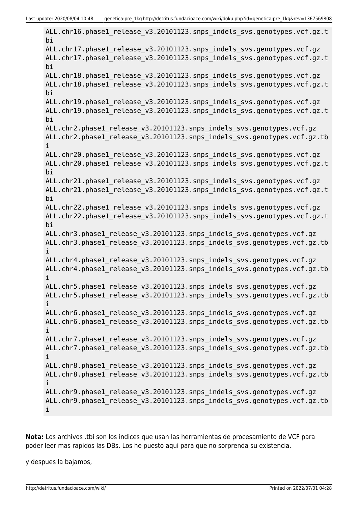ALL.chr16.phase1 release v3.20101123.snps indels svs.genotypes.vcf.gz.t bi ALL.chr17.phase1 release v3.20101123.snps indels svs.genotypes.vcf.gz ALL.chr17.phase1 release v3.20101123.snps indels svs.genotypes.vcf.gz.t bi ALL.chr18.phase1 release v3.20101123.snps indels svs.genotypes.vcf.gz ALL.chr18.phase1\_release\_v3.20101123.snps\_indels\_svs.genotypes.vcf.gz.t bi ALL.chr19.phase1 release v3.20101123.snps indels svs.genotypes.vcf.gz ALL.chr19.phase1 release v3.20101123.snps indels svs.genotypes.vcf.gz.t bi ALL.chr2.phase1\_release\_v3.20101123.snps\_indels\_svs.genotypes.vcf.gz ALL.chr2.phase1 release v3.20101123.snps indels svs.genotypes.vcf.gz.tb i ALL.chr20.phase1 release v3.20101123.snps indels svs.genotypes.vcf.gz ALL.chr20.phase1 release v3.20101123.snps indels svs.genotypes.vcf.gz.t bi ALL.chr21.phase1 release v3.20101123.snps indels svs.genotypes.vcf.gz ALL.chr21.phase1 release v3.20101123.snps indels svs.genotypes.vcf.gz.t bi ALL.chr22.phase1 release v3.20101123.snps indels svs.genotypes.vcf.gz ALL.chr22.phase1 release v3.20101123.snps indels svs.genotypes.vcf.gz.t bi ALL.chr3.phase1 release v3.20101123.snps indels svs.genotypes.vcf.gz ALL.chr3.phase1\_release\_v3.20101123.snps\_indels\_svs.genotypes.vcf.gz.tb i ALL.chr4.phase1 release v3.20101123.snps indels svs.genotypes.vcf.gz ALL.chr4.phase1 release v3.20101123.snps indels svs.genotypes.vcf.gz.tb i ALL.chr5.phase1 release v3.20101123.snps indels svs.genotypes.vcf.gz ALL.chr5.phase1 release v3.20101123.snps indels svs.genotypes.vcf.gz.tb i ALL.chr6.phase1 release v3.20101123.snps indels svs.genotypes.vcf.gz ALL.chr6.phase1 release v3.20101123.snps indels svs.genotypes.vcf.gz.tb i ALL.chr7.phase1 release v3.20101123.snps indels svs.genotypes.vcf.gz ALL.chr7.phase1 release v3.20101123.snps indels svs.genotypes.vcf.gz.tb i ALL.chr8.phase1\_release\_v3.20101123.snps\_indels\_svs.genotypes.vcf.gz ALL.chr8.phase1\_release\_v3.20101123.snps\_indels\_svs.genotypes.vcf.gz.tb i ALL.chr9.phase1 release v3.20101123.snps indels svs.genotypes.vcf.gz ALL.chr9.phase1 release v3.20101123.snps indels svs.genotypes.vcf.gz.tb i

**Nota:** Los archivos .tbi son los indices que usan las herramientas de procesamiento de VCF para poder leer mas rapidos las DBs. Los he puesto aqui para que no sorprenda su existencia.

y despues la bajamos,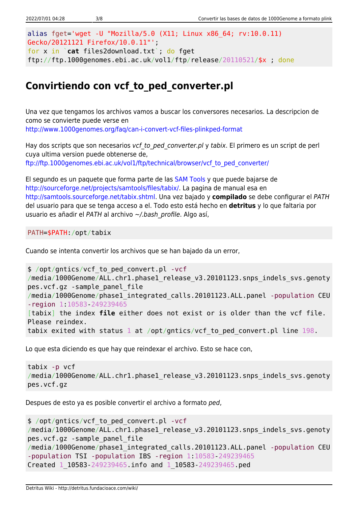```
alias fget='wget -U "Mozilla/5.0 (X11; Linux x86_64; rv:10.0.11)
Gecko/20121121 Firefox/10.0.11"';
for x in `cat files2download.txt`; do fget
ftp://ftp.1000genomes.ebi.ac.uk/vol1/ftp/release/20110521/$x ; done
```
# **Convirtiendo con vcf\_to\_ped\_converter.pl**

Una vez que tengamos los archivos vamos a buscar los conversores necesarios. La descripcion de como se convierte puede verse en <http://www.1000genomes.org/faq/can-i-convert-vcf-files-plinkped-format>

Hay dos scripts que son necesarios vcf to ped converter.pl y tabix. El primero es un script de perl cuya ultima version puede obtenerse de, [ftp://ftp.1000genomes.ebi.ac.uk/vol1/ftp/technical/browser/vcf\\_to\\_ped\\_converter/](ftp://ftp.1000genomes.ebi.ac.uk/vol1/ftp/technical/browser/vcf_to_ped_converter/)

El segundo es un paquete que forma parte de las [SAM Tools](http://samtools.sourceforge.net/) y que puede bajarse de [http://sourceforge.net/projects/samtools/files/tabix/.](http://sourceforge.net/projects/samtools/files/tabix/) La pagina de manual esa en <http://samtools.sourceforge.net/tabix.shtml>. Una vez bajado y **compilado** se debe configurar el PATH del usuario para que se tenga acceso a el. Todo esto está hecho en **detritus** y lo que faltaria por usuario es añadir el PATH al archivo ~/.bash profile. Algo así,

PATH=\$PATH:/opt/tabix

Cuando se intenta convertir los archivos que se han bajado da un error,

```
$ /opt/gntics/vcf_to_ped_convert.pl -vcf
/media/1000Genome/ALL.chr1.phase1 release v3.20101123.snps indels svs.genoty
pes.vcf.gz -sample_panel_file
/media/1000Genome/phase1_integrated_calls.20101123.ALL.panel -population CEU
-region 1:10583-249239465
[tabix] the index file either does not exist or is older than the vcf file.
Please reindex.
tabix exited with status 1 at /opt/gntics/vcf_to_ped_convert.pl line 198.
```
Lo que esta diciendo es que hay que reindexar el archivo. Esto se hace con,

```
tabix -p vcf
/media/1000Genome/ALL.chr1.phase1 release v3.20101123.snps indels svs.genoty
pes.vcf.gz
```
Despues de esto ya es posible convertir el archivo a formato ped,

```
$ /opt/gntics/vcf_to_ped_convert.pl -vcf
/media/1000Genome/ALL.chr1.phase1 release v3.20101123.snps indels svs.genoty
pes.vcf.gz -sample_panel_file
/media/1000Genome/phase1_integrated_calls.20101123.ALL.panel -population CEU
-population TSI -population IBS -region 1:10583-249239465
Created 1_10583-249239465.info and 1_10583-249239465.ped
```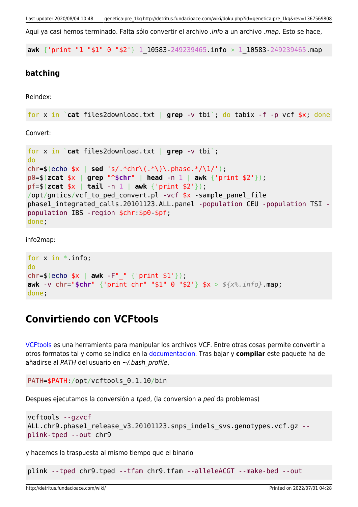Aqui va casi hemos terminado. Falta sólo convertir el archivo .info a un archivo .map. Esto se hace,

**awk** {'print "1 "\$1" 0 "\$2'} 1\_10583-249239465.info > 1\_10583-249239465.map

#### **batching**

Reindex:

```
for x in `cat files2download.txt | grep -v tbi`; do tabix -f -p vcf $x; done
```
Convert:

```
for x in `cat files2download.txt | grep -v tbi`;
do
chr=$(echo $x | sed 's/.*chr\(.*\)\.phase.*/\1/');
p0=$(zcat $x | grep "^$chr" | head -n 1 | awk {'print $2'});
pf=$(zcat $x | tail -n 1 | awk {'print $2'});
/opt/gntics/vcf to ped convert.pl -vcf *x -sample panel file
phase1_integrated_calls.20101123.ALL.panel -population CEU -population TSI -
population IBS -region $chr:$p0-$pf;
done;
```
info2map:

```
for x in *. info;
do
chr=$(echo $x | awk -F"_" {'print $1'});
awk -v chr="$chr" {'print chr" "$1" 0 "$2'} $x > ${x%.info}.map;
done;
```
### **Convirtiendo con VCFtools**

[VCFtools](http://vcftools.sourceforge.net/index.html) es una herramienta para manipular los archivos VCF. Entre otras cosas permite convertir a otros formatos tal y como se indica en la [documentacion.](http://vcftools.sourceforge.net/options.html) Tras bajar y **compilar** este paquete ha de añadirse al PATH del usuario en ~/.bash\_profile,

```
PATH=$PATH:/opt/vcftools_0.1.10/bin
```
Despues ejecutamos la conversión a tped, (la conversion a ped da problemas)

```
vcftools --gzvcf
ALL.chr9.phase1_release_v3.20101123.snps_indels_svs.genotypes.vcf.gz --
plink-tped --out chr9
```
y hacemos la traspuesta al mismo tiempo que el binario

plink --tped chr9.tped --tfam chr9.tfam --alleleACGT --make-bed --out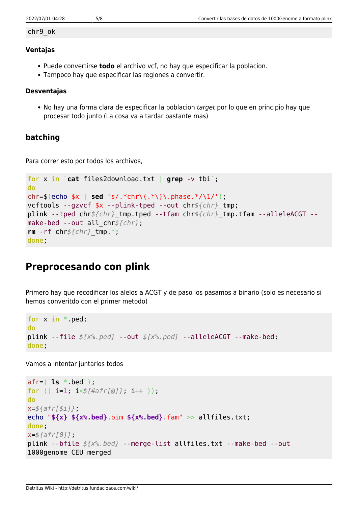#### chr9\_ok

#### **Ventajas**

- Puede convertirse **todo** el archivo vcf, no hay que especificar la poblacion.
- Tampoco hay que especificar las regiones a convertir.

#### **Desventajas**

• No hay una forma clara de especificar la poblacion target por lo que en principio hay que procesar todo junto (La cosa va a tardar bastante mas)

### **batching**

Para correr esto por todos los archivos,

```
for x in `cat files2download.txt | grep -v tbi`;
do
chr=$(echo $x | sed 's/.*chr\(.*\)\.phase.*/\1/');
vcftools --gzvcf $x --plink-tped --out chr${chr}_tmp;
plink --tped chr${chr}_tmp.tped --tfam chr${chr}_tmp.tfam --alleleACGT --
make-bed --out all_chr${chr};
rm -rf chr${chr}_tmp.*;
done;
```
# **Preprocesando con plink**

Primero hay que recodificar los alelos a ACGT y de paso los pasamos a binario (solo es necesario si hemos converitdo con el primer metodo)

```
for x in *.ped;
do
plink --file ${x%.ped} --out ${x%.ped} --alleleACGT --make-bed;
done;
```
Vamos a intentar juntarlos todos

```
afr=(`ls *.bed`);
for (( i=1; i<${#afr[@]}; i++ ));
do
x=${afr[$i]};
echo "${x} ${x%.bed}.bim ${x%.bed}.fam" >> allfiles.txt;
done;
x=${afr[0]};
plink --bfile ${x%.bed} --merge-list allfiles.txt --make-bed --out
1000genome_CEU_merged
```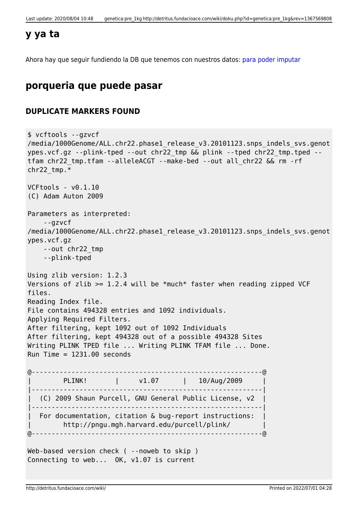### **y ya ta**

Ahora hay que seguir fundiendo la DB que tenemos con nuestros datos: [para poder imputar](http://detritus.fundacioace.com/wiki/doku.php?id=genetica:plink_1kg_impute)

## **porqueria que puede pasar**

### **DUPLICATE MARKERS FOUND**

```
$ vcftools --gzvcf
/media/1000Genome/ALL.chr22.phase1 release v3.20101123.snps indels svs.genot
ypes.vcf.gz --plink-tped --out chr22_tmp && plink --tped chr22_tmp.tped --
tfam chr22_tmp.tfam --alleleACGT --make-bed --out all_chr22 && rm -rf
chr22 tmp.*VCFtools - v0.1.10
(C) Adam Auton 2009
Parameters as interpreted:
     --gzvcf
/media/1000Genome/ALL.chr22.phase1_release_v3.20101123.snps_indels_svs.genot
ypes.vcf.gz
    --out chr22_tmp
     --plink-tped
Using zlib version: 1.2.3
Versions of zlib >= 1.2.4 will be *much* faster when reading zipped VCF
files.
Reading Index file.
File contains 494328 entries and 1092 individuals.
Applying Required Filters.
After filtering, kept 1092 out of 1092 Individuals
After filtering, kept 494328 out of a possible 494328 Sites
Writing PLINK TPED file ... Writing PLINK TFAM file ... Done.
Run Time = 1231.00 seconds
@----------------------------------------------------------@
       | PLINK! | v1.07 | 10/Aug/2009 |
|----------------------------------------------------------|
| (C) 2009 Shaun Purcell, GNU General Public License, v2 |
|----------------------------------------------------------|
   For documentation, citation & bug-report instructions:
        | http://pngu.mgh.harvard.edu/purcell/plink/ |
@----------------------------------------------------------@
Web-based version check ( --noweb to skip )
Connecting to web... OK, v1.07 is current
```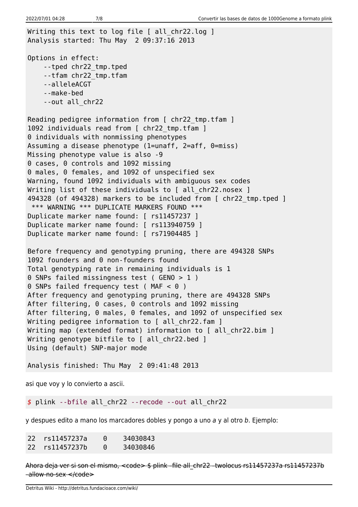Writing this text to log file [ all chr22.log ] Analysis started: Thu May 2 09:37:16 2013 Options in effect: --tped chr22\_tmp.tped --tfam chr22\_tmp.tfam --alleleACGT

 --make-bed --out all\_chr22

Reading pedigree information from [ chr22 tmp.tfam ] 1092 individuals read from [ chr22 tmp.tfam ] 0 individuals with nonmissing phenotypes Assuming a disease phenotype (1=unaff, 2=aff, 0=miss) Missing phenotype value is also -9 0 cases, 0 controls and 1092 missing 0 males, 0 females, and 1092 of unspecified sex Warning, found 1092 individuals with ambiguous sex codes Writing list of these individuals to [ all chr22.nosex ] 494328 (of 494328) markers to be included from [ chr22\_tmp.tped ] \*\*\* WARNING \*\*\* DUPLICATE MARKERS FOUND \*\*\* Duplicate marker name found: [ rs11457237 ] Duplicate marker name found: [ rs113940759 ] Duplicate marker name found: [ rs71904485 ]

Before frequency and genotyping pruning, there are 494328 SNPs 1092 founders and 0 non-founders found Total genotyping rate in remaining individuals is 1 0 SNPs failed missingness test ( GENO > 1 ) 0 SNPs failed frequency test ( MAF < 0 ) After frequency and genotyping pruning, there are 494328 SNPs After filtering, 0 cases, 0 controls and 1092 missing After filtering, 0 males, 0 females, and 1092 of unspecified sex Writing pedigree information to [ all\_chr22.fam ] Writing map (extended format) information to [ all chr22.bim ] Writing genotype bitfile to [ all chr22.bed ] Using (default) SNP-major mode

Analysis finished: Thu May 2 09:41:48 2013

asi que voy y lo convierto a ascii.

*\$* plink --bfile all\_chr22 --recode --out all\_chr22

y despues edito a mano los marcadores dobles y pongo a uno a y al otro b. Ejemplo:

| 22 rs11457237a | $\Theta$ | 34030843 |
|----------------|----------|----------|
| 22 rs11457237b | $\Theta$ | 34030846 |

Ahora deja ver si son el mismo, <code> \$ plink -file all chr22 -twolocus rs11457237a rs11457237b –allow-no-sex </code>